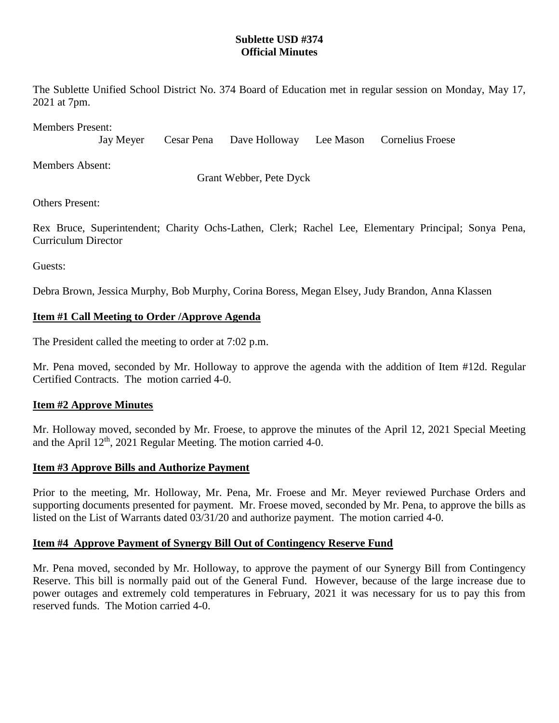### **Sublette USD #374 Official Minutes**

The Sublette Unified School District No. 374 Board of Education met in regular session on Monday, May 17, 2021 at 7pm.

Members Present:

Jay Meyer Cesar Pena Dave Holloway Lee Mason Cornelius Froese

Members Absent:

Grant Webber, Pete Dyck

Others Present:

Rex Bruce, Superintendent; Charity Ochs-Lathen, Clerk; Rachel Lee, Elementary Principal; Sonya Pena, Curriculum Director

Guests:

Debra Brown, Jessica Murphy, Bob Murphy, Corina Boress, Megan Elsey, Judy Brandon, Anna Klassen

# **Item #1 Call Meeting to Order /Approve Agenda**

The President called the meeting to order at 7:02 p.m.

Mr. Pena moved, seconded by Mr. Holloway to approve the agenda with the addition of Item #12d. Regular Certified Contracts. The motion carried 4-0.

# **Item #2 Approve Minutes**

Mr. Holloway moved, seconded by Mr. Froese, to approve the minutes of the April 12, 2021 Special Meeting and the April  $12<sup>th</sup>$ , 2021 Regular Meeting. The motion carried 4-0.

#### **Item #3 Approve Bills and Authorize Payment**

Prior to the meeting, Mr. Holloway, Mr. Pena, Mr. Froese and Mr. Meyer reviewed Purchase Orders and supporting documents presented for payment. Mr. Froese moved, seconded by Mr. Pena, to approve the bills as listed on the List of Warrants dated 03/31/20 and authorize payment. The motion carried 4-0.

#### **Item #4 Approve Payment of Synergy Bill Out of Contingency Reserve Fund**

Mr. Pena moved, seconded by Mr. Holloway, to approve the payment of our Synergy Bill from Contingency Reserve. This bill is normally paid out of the General Fund. However, because of the large increase due to power outages and extremely cold temperatures in February, 2021 it was necessary for us to pay this from reserved funds. The Motion carried 4-0.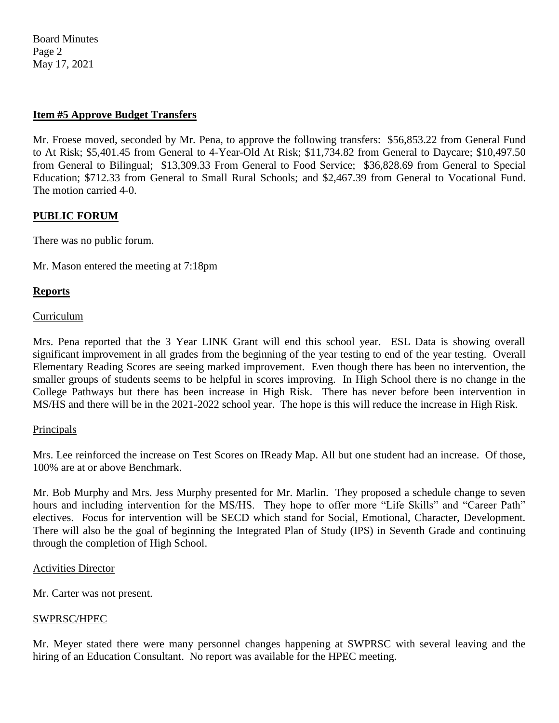Board Minutes Page 2 May 17, 2021

### **Item #5 Approve Budget Transfers**

Mr. Froese moved, seconded by Mr. Pena, to approve the following transfers: \$56,853.22 from General Fund to At Risk; \$5,401.45 from General to 4-Year-Old At Risk; \$11,734.82 from General to Daycare; \$10,497.50 from General to Bilingual; \$13,309.33 From General to Food Service; \$36,828.69 from General to Special Education; \$712.33 from General to Small Rural Schools; and \$2,467.39 from General to Vocational Fund. The motion carried 4-0.

### **PUBLIC FORUM**

There was no public forum.

Mr. Mason entered the meeting at 7:18pm

# **Reports**

#### Curriculum

Mrs. Pena reported that the 3 Year LINK Grant will end this school year. ESL Data is showing overall significant improvement in all grades from the beginning of the year testing to end of the year testing. Overall Elementary Reading Scores are seeing marked improvement. Even though there has been no intervention, the smaller groups of students seems to be helpful in scores improving. In High School there is no change in the College Pathways but there has been increase in High Risk. There has never before been intervention in MS/HS and there will be in the 2021-2022 school year. The hope is this will reduce the increase in High Risk.

#### Principals

Mrs. Lee reinforced the increase on Test Scores on IReady Map. All but one student had an increase. Of those, 100% are at or above Benchmark.

Mr. Bob Murphy and Mrs. Jess Murphy presented for Mr. Marlin. They proposed a schedule change to seven hours and including intervention for the MS/HS. They hope to offer more "Life Skills" and "Career Path" electives. Focus for intervention will be SECD which stand for Social, Emotional, Character, Development. There will also be the goal of beginning the Integrated Plan of Study (IPS) in Seventh Grade and continuing through the completion of High School.

#### Activities Director

Mr. Carter was not present.

#### SWPRSC/HPEC

Mr. Meyer stated there were many personnel changes happening at SWPRSC with several leaving and the hiring of an Education Consultant. No report was available for the HPEC meeting.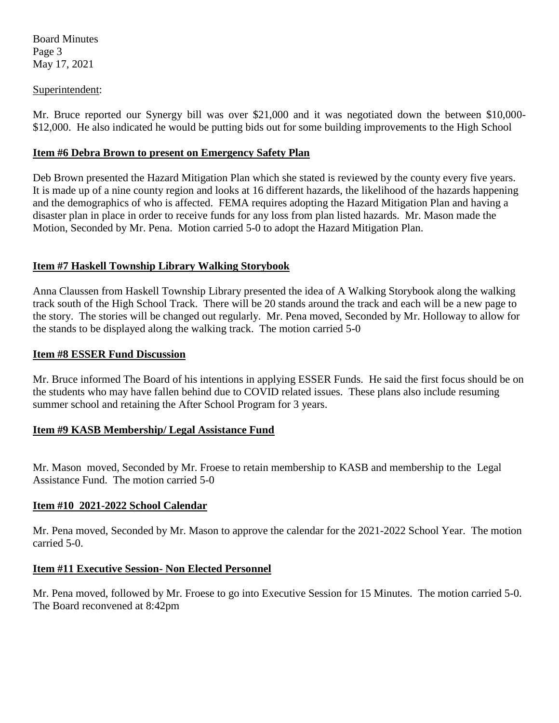Board Minutes Page 3 May 17, 2021

### Superintendent:

Mr. Bruce reported our Synergy bill was over \$21,000 and it was negotiated down the between \$10,000- \$12,000. He also indicated he would be putting bids out for some building improvements to the High School

### **Item #6 Debra Brown to present on Emergency Safety Plan**

Deb Brown presented the Hazard Mitigation Plan which she stated is reviewed by the county every five years. It is made up of a nine county region and looks at 16 different hazards, the likelihood of the hazards happening and the demographics of who is affected. FEMA requires adopting the Hazard Mitigation Plan and having a disaster plan in place in order to receive funds for any loss from plan listed hazards. Mr. Mason made the Motion, Seconded by Mr. Pena. Motion carried 5-0 to adopt the Hazard Mitigation Plan.

# **Item #7 Haskell Township Library Walking Storybook**

Anna Claussen from Haskell Township Library presented the idea of A Walking Storybook along the walking track south of the High School Track. There will be 20 stands around the track and each will be a new page to the story. The stories will be changed out regularly. Mr. Pena moved, Seconded by Mr. Holloway to allow for the stands to be displayed along the walking track. The motion carried 5-0

#### **Item #8 ESSER Fund Discussion**

Mr. Bruce informed The Board of his intentions in applying ESSER Funds. He said the first focus should be on the students who may have fallen behind due to COVID related issues. These plans also include resuming summer school and retaining the After School Program for 3 years.

# **Item #9 KASB Membership/ Legal Assistance Fund**

Mr. Mason moved, Seconded by Mr. Froese to retain membership to KASB and membership to the Legal Assistance Fund. The motion carried 5-0

#### **Item #10 2021-2022 School Calendar**

Mr. Pena moved, Seconded by Mr. Mason to approve the calendar for the 2021-2022 School Year. The motion carried 5-0.

# **Item #11 Executive Session- Non Elected Personnel**

Mr. Pena moved, followed by Mr. Froese to go into Executive Session for 15 Minutes. The motion carried 5-0. The Board reconvened at 8:42pm